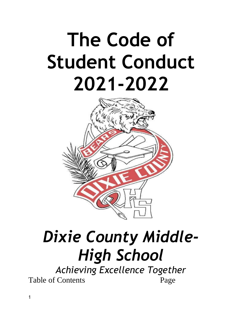# **The Code of Student Conduct 2021-2022**



## *Dixie County Middle-High School*

*Achieving Excellence Together*  Table of Contents Page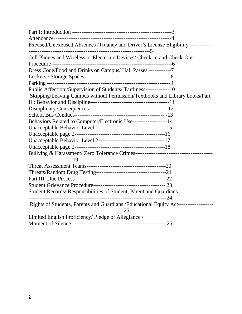| Excused/Unexcused Absences /Truancy and Driver's License Eligibility -----------     |
|--------------------------------------------------------------------------------------|
| Cell Phones and Wireless or Electronic Devices/ Check-in and Check-Out               |
|                                                                                      |
| Dress Code/Food and Drinks on Campus/ Hall Passes ------------7                      |
|                                                                                      |
|                                                                                      |
| Public Affection /Supervision of Students/ Tardiness-------------10                  |
| Skipping/Leaving Campus without Permission/Textbooks and Library books/Part          |
|                                                                                      |
|                                                                                      |
|                                                                                      |
| Behaviors Related to Computer/Electronic Use--------------- -- 14                    |
|                                                                                      |
|                                                                                      |
|                                                                                      |
|                                                                                      |
|                                                                                      |
| ------------------------19                                                           |
|                                                                                      |
|                                                                                      |
|                                                                                      |
|                                                                                      |
| Student Records/ Responsibilities of Student, Parent and Guardians                   |
| Rights of Students, Parents and Guardians / Educational Equity Act------------------ |
| Limited English Proficiency/Pledge of Allegiance /                                   |
|                                                                                      |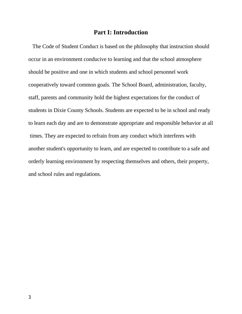#### **Part I: Introduction**

The Code of Student Conduct is based on the philosophy that instruction should occur in an environment conducive to learning and that the school atmosphere should be positive and one in which students and school personnel work cooperatively toward common goals. The School Board, administration, faculty, staff, parents and community hold the highest expectations for the conduct of students in Dixie County Schools. Students are expected to be in school and ready to learn each day and are to demonstrate appropriate and responsible behavior at all times. They are expected to refrain from any conduct which interferes with another student's opportunity to learn, and are expected to contribute to a safe and orderly learning environment by respecting themselves and others, their property, and school rules and regulations.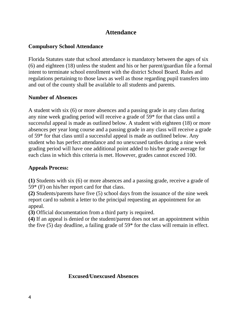## **Attendance**

#### **Compulsory School Attendance**

Florida Statutes state that school attendance is mandatory between the ages of six (6) and eighteen (18) unless the student and his or her parent/guardian file a formal intent to terminate school enrollment with the district School Board. Rules and regulations pertaining to those laws as well as those regarding pupil transfers into and out of the county shall be available to all students and parents.

#### **Number of Absences**

A student with six (6) or more absences and a passing grade in any class during any nine week grading period will receive a grade of 59\* for that class until a successful appeal is made as outlined below. A student with eighteen (18) or more absences per year long course and a passing grade in any class will receive a grade of 59\* for that class until a successful appeal is made as outlined below. Any student who has perfect attendance and no unexcused tardies during a nine week grading period will have one additional point added to his/her grade average for each class in which this criteria is met. However, grades cannot exceed 100.

#### **Appeals Process:**

**(1)** Students with six (6) or more absences and a passing grade, receive a grade of 59\* (F) on his/her report card for that class.

**(2)** Students/parents have five (5) school days from the issuance of the nine week report card to submit a letter to the principal requesting an appointment for an appeal.

**(3)** Official documentation from a third party is required.

**(4)** If an appeal is denied or the student/parent does not set an appointment within the five (5) day deadline, a failing grade of 59\* for the class will remain in effect.

#### **Excused/Unexcused Absences**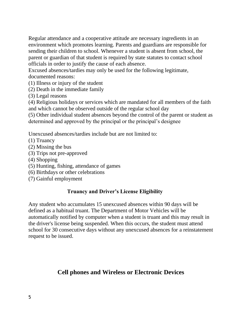Regular attendance and a cooperative attitude are necessary ingredients in an environment which promotes learning. Parents and guardians are responsible for sending their children to school. Whenever a student is absent from school, the parent or guardian of that student is required by state statutes to contact school officials in order to justify the cause of each absence.

Excused absences/tardies may only be used for the following legitimate, documented reasons:

(1) Illness or injury of the student

(2) Death in the immediate family

(3) Legal reasons

(4) Religious holidays or services which are mandated for all members of the faith and which cannot be observed outside of the regular school day

(5) Other individual student absences beyond the control of the parent or student as determined and approved by the principal or the principal's designee

Unexcused absences/tardies include but are not limited to:

- (1) Truancy
- (2) Missing the bus
- (3) Trips not pre-approved
- (4) Shopping
- (5) Hunting, fishing, attendance of games
- (6) Birthdays or other celebrations
- (7) Gainful employment

## **Truancy and Driver's License Eligibility**

Any student who accumulates 15 unexcused absences within 90 days will be defined as a habitual truant. The Department of Motor Vehicles will be automatically notified by computer when a student is truant and this may result in the driver's license being suspended. When this occurs, the student must attend school for 30 consecutive days without any unexcused absences for a reinstatement request to be issued.

## **Cell phones and Wireless or Electronic Devices**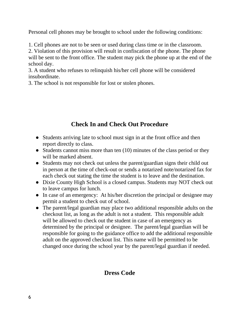Personal cell phones may be brought to school under the following conditions:

1. Cell phones are not to be seen or used during class time or in the classroom.

2. Violation of this provision will result in confiscation of the phone. The phone will be sent to the front office. The student may pick the phone up at the end of the school day.

3. A student who refuses to relinquish his/her cell phone will be considered insubordinate.

3. The school is not responsible for lost or stolen phones.

## **Check In and Check Out Procedure**

- Students arriving late to school must sign in at the front office and then report directly to class.
- Students cannot miss more than ten (10) minutes of the class period or they will be marked absent.
- Students may not check out unless the parent/guardian signs their child out in person at the time of check-out or sends a notarized note/notarized fax for each check out stating the time the student is to leave and the destination.
- Dixie County High School is a closed campus. Students may NOT check out to leave campus for lunch.
- In case of an emergency: At his/her discretion the principal or designee may permit a student to check out of school.
- The parent/legal guardian may place two additional responsible adults on the checkout list, as long as the adult is not a student. This responsible adult will be allowed to check out the student in case of an emergency as determined by the principal or designee. The parent/legal guardian will be responsible for going to the guidance office to add the additional responsible adult on the approved checkout list. This name will be permitted to be changed once during the school year by the parent/legal guardian if needed.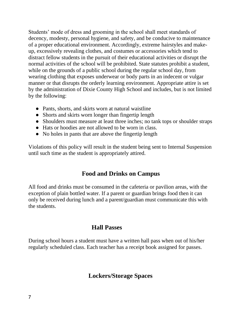Students' mode of dress and grooming in the school shall meet standards of decency, modesty, personal hygiene, and safety, and be conducive to maintenance of a proper educational environment. Accordingly, extreme hairstyles and makeup, excessively revealing clothes, and costumes or accessories which tend to distract fellow students in the pursuit of their educational activities or disrupt the normal activities of the school will be prohibited. State statutes prohibit a student, while on the grounds of a public school during the regular school day, from wearing clothing that exposes underwear or body parts in an indecent or vulgar manner or that disrupts the orderly learning environment. Appropriate attire is set by the administration of Dixie County High School and includes, but is not limited by the following:

- Pants, shorts, and skirts worn at natural waistline
- Shorts and skirts worn longer than fingertip length
- Shoulders must measure at least three inches; no tank tops or shoulder straps
- Hats or hoodies are not allowed to be worn in class.
- No holes in pants that are above the fingertip length

Violations of this policy will result in the student being sent to Internal Suspension until such time as the student is appropriately attired.

## **Food and Drinks on Campus**

All food and drinks must be consumed in the cafeteria or pavilion areas, with the exception of plain bottled water. If a parent or guardian brings food then it can only be received during lunch and a parent/guardian must communicate this with the students.

## **Hall Passes**

During school hours a student must have a written hall pass when out of his/her regularly scheduled class. Each teacher has a receipt book assigned for passes.

## **Lockers/Storage Spaces**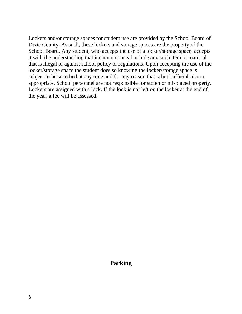Lockers and/or storage spaces for student use are provided by the School Board of Dixie County. As such, these lockers and storage spaces are the property of the School Board. Any student, who accepts the use of a locker/storage space, accepts it with the understanding that it cannot conceal or hide any such item or material that is illegal or against school policy or regulations. Upon accepting the use of the locker/storage space the student does so knowing the locker/storage space is subject to be searched at any time and for any reason that school officials deem appropriate. School personnel are not responsible for stolen or misplaced property. Lockers are assigned with a lock. If the lock is not left on the locker at the end of the year, a fee will be assessed.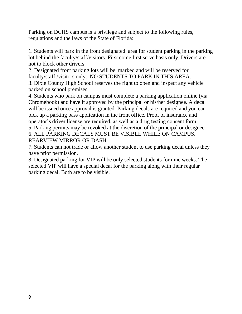Parking on DCHS campus is a privilege and subject to the following rules, regulations and the laws of the State of Florida:

1. Students will park in the front designated area for student parking in the parking lot behind the faculty/staff/visitors. First come first serve basis only, Drivers are not to block other drivers.

2. Designated front parking lots will be marked and will be reserved for faculty/staff /visitors only. NO STUDENTS TO PARK IN THIS AREA. 3. Dixie County High School reserves the right to open and inspect any vehicle parked on school premises.

4. Students who park on campus must complete a parking application online (via Chromebook) and have it approved by the principal or his/her designee. A decal will be issued once approval is granted. Parking decals are required and you can pick up a parking pass application in the front office. Proof of insurance and operator's driver license are required, as well as a drug testing consent form. 5. Parking permits may be revoked at the discretion of the principal or designee.

6. ALL PARKING DECALS MUST BE VISIBLE WHILE ON CAMPUS. REARVIEW MIRROR OR DASH.

7. Students can not trade or allow another student to use parking decal unless they have prior permission.

8. Designated parking for VIP will be only selected students for nine weeks. The selected VIP will have a special decal for the parking along with their regular parking decal. Both are to be visible.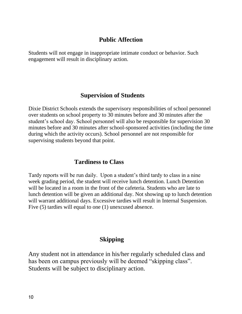## **Public Affection**

Students will not engage in inappropriate intimate conduct or behavior. Such engagement will result in disciplinary action.

## **Supervision of Students**

Dixie District Schools extends the supervisory responsibilities of school personnel over students on school property to 30 minutes before and 30 minutes after the student's school day. School personnel will also be responsible for supervision 30 minutes before and 30 minutes after school-sponsored activities (including the time during which the activity occurs). School personnel are not responsible for supervising students beyond that point.

## **Tardiness to Class**

Tardy reports will be run daily. Upon a student's third tardy to class in a nine week grading period, the student will receive lunch detention. Lunch Detention will be located in a room in the front of the cafeteria. Students who are late to lunch detention will be given an additional day. Not showing up to lunch detention will warrant additional days. Excessive tardies will result in Internal Suspension. Five (5) tardies will equal to one (1) unexcused absence.

## **Skipping**

Any student not in attendance in his/her regularly scheduled class and has been on campus previously will be deemed "skipping class". Students will be subject to disciplinary action.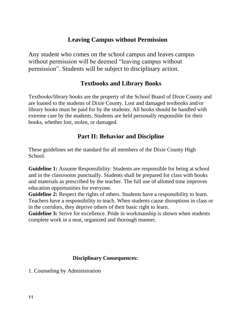## **Leaving Campus without Permission**

Any student who comes on the school campus and leaves campus without permission will be deemed "leaving campus without permission". Students will be subject to disciplinary action.

## **Textbooks and Library Books**

Textbooks/library books are the property of the School Board of Dixie County and are loaned to the students of Dixie County. Lost and damaged textbooks and/or library books must be paid for by the students. All books should be handled with extreme care by the students. Students are held personally responsible for their books, whether lost, stolen, or damaged.

## **Part II: Behavior and Discipline**

These guidelines set the standard for all members of the Dixie County High School.

**Guideline 1:** Assume Responsibility: Students are responsible for being at school and in the classrooms punctually. Students shall be prepared for class with books and materials as prescribed by the teacher. The full use of allotted time improves education opportunities for everyone.

**Guideline 2:** Respect the rights of others. Students have a responsibility to learn. Teachers have a responsibility to teach. When students cause disruptions in class or in the corridors, they deprive others of their basic right to learn.

**Guideline 3:** Strive for excellence. Pride in workmanship is shown when students complete work in a neat, organized and thorough manner.

#### **Disciplinary Consequences:**

1. Counseling by Administration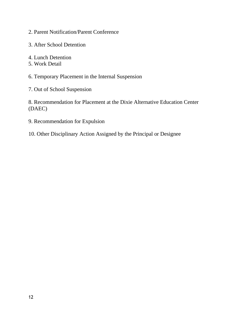- 2. Parent Notification/Parent Conference
- 3. After School Detention
- 4. Lunch Detention
- 5. Work Detail
- 6. Temporary Placement in the Internal Suspension
- 7. Out of School Suspension

8. Recommendation for Placement at the Dixie Alternative Education Center (DAEC)

- 9. Recommendation for Expulsion
- 10. Other Disciplinary Action Assigned by the Principal or Designee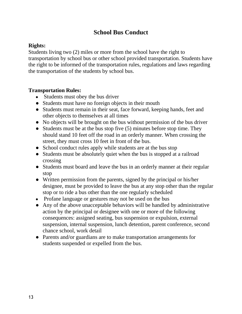## **School Bus Conduct**

#### **Rights:**

Students living two (2) miles or more from the school have the right to transportation by school bus or other school provided transportation. Students have the right to be informed of the transportation rules, regulations and laws regarding the transportation of the students by school bus.

#### **Transportation Rules:**

- Students must obey the bus driver
- Students must have no foreign objects in their mouth
- Students must remain in their seat, face forward, keeping hands, feet and other objects to themselves at all times
- No objects will be brought on the bus without permission of the bus driver
- Students must be at the bus stop five  $(5)$  minutes before stop time. They should stand 10 feet off the road in an orderly manner. When crossing the street, they must cross 10 feet in front of the bus.
- School conduct rules apply while students are at the bus stop
- Students must be absolutely quiet when the bus is stopped at a railroad crossing
- Students must board and leave the bus in an orderly manner at their regular stop
- Written permission from the parents, signed by the principal or his/her designee, must be provided to leave the bus at any stop other than the regular stop or to ride a bus other than the one regularly scheduled
- Profane language or gestures may not be used on the bus
- Any of the above unacceptable behaviors will be handled by administrative action by the principal or designee with one or more of the following consequences: assigned seating, bus suspension or expulsion, external suspension, internal suspension, lunch detention, parent conference, second chance school, work detail
- Parents and/or guardians are to make transportation arrangements for students suspended or expelled from the bus.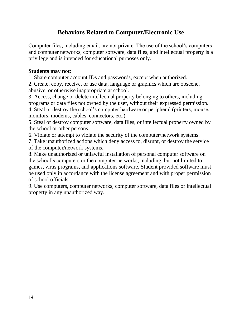## **Behaviors Related to Computer/Electronic Use**

Computer files, including email, are not private. The use of the school's computers and computer networks, computer software, data files, and intellectual property is a privilege and is intended for educational purposes only.

#### **Students may not:**

1. Share computer account IDs and passwords, except when authorized.

2. Create, copy, receive, or use data, language or graphics which are obscene, abusive, or otherwise inappropriate at school.

3. Access, change or delete intellectual property belonging to others, including programs or data files not owned by the user, without their expressed permission.

4. Steal or destroy the school's computer hardware or peripheral (printers, mouse, monitors, modems, cables, connectors, etc.).

5. Steal or destroy computer software, data files, or intellectual property owned by the school or other persons.

6. Violate or attempt to violate the security of the computer/network systems.

7. Take unauthorized actions which deny access to, disrupt, or destroy the service of the computer/network systems.

8. Make unauthorized or unlawful installation of personal computer software on the school's computers or the computer networks, including, but not limited to, games, virus programs, and applications software. Student provided software must be used only in accordance with the license agreement and with proper permission of school officials.

9. Use computers, computer networks, computer software, data files or intellectual property in any unauthorized way.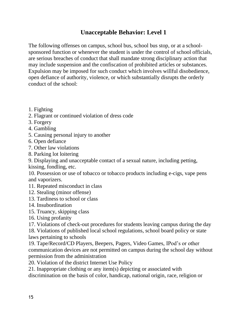## **Unacceptable Behavior: Level 1**

The following offenses on campus, school bus, school bus stop, or at a schoolsponsored function or whenever the student is under the control of school officials, are serious breaches of conduct that shall mandate strong disciplinary action that may include suspension and the confiscation of prohibited articles or substances. Expulsion may be imposed for such conduct which involves willful disobedience, open defiance of authority, violence, or which substantially disrupts the orderly conduct of the school:

- 1. Fighting
- 2. Flagrant or continued violation of dress code
- 3. Forgery
- 4. Gambling
- 5. Causing personal injury to another
- 6. Open defiance
- 7. Other law violations
- 8. Parking lot loitering

9. Displaying and unacceptable contact of a sexual nature, including petting,

kissing, fondling, etc.

10. Possession or use of tobacco or tobacco products including e-cigs, vape pens and vaporizers.

- 11. Repeated misconduct in class
- 12. Stealing (minor offense)
- 13. Tardiness to school or class
- 14. Insubordination
- 15. Truancy, skipping class
- 16. Using profanity
- 17. Violations of check-out procedures for students leaving campus during the day

18. Violations of published local school regulations, school board policy or state laws pertaining to schools

19. Tape/Record/CD Players, Beepers, Pagers, Video Games, IPod's or other communication devices are not permitted on campus during the school day without permission from the administration

20. Violation of the district Internet Use Policy

21. Inappropriate clothing or any item(s) depicting or associated with discrimination on the basis of color, handicap, national origin, race, religion or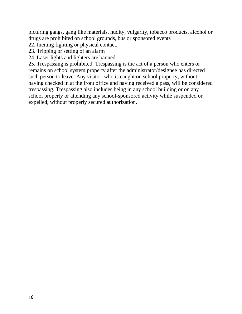picturing gangs, gang like materials, nudity, vulgarity, tobacco products, alcohol or drugs are prohibited on school grounds, bus or sponsored events

- 22. Inciting fighting or physical contact.
- 23. Tripping or setting of an alarm
- 24. Laser lights and lighters are banned

25. Trespassing is prohibited. Trespassing is the act of a person who enters or remains on school system property after the administrator/designee has directed such person to leave. Any visitor, who is caught on school property, without having checked in at the front office and having received a pass, will be considered trespassing. Trespassing also includes being in any school building or on any school property or attending any school-sponsored activity while suspended or expelled, without properly secured authorization.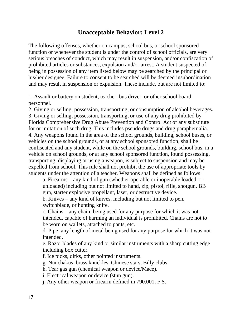## **Unacceptable Behavior: Level 2**

The following offenses, whether on campus, school bus, or school sponsored function or whenever the student is under the control of school officials, are very serious breaches of conduct, which may result in suspension, and/or confiscation of prohibited articles or substances, expulsion and/or arrest. A student suspected of being in possession of any item listed below may be searched by the principal or his/her designee. Failure to consent to be searched will be deemed insubordination and may result in suspension or expulsion. These include, but are not limited to:

1. Assault or battery on student, teacher, bus driver, or other school board personnel.

2. Giving or selling, possession, transporting, or consumption of alcohol beverages. 3. Giving or selling, possession, transporting, or use of any drug prohibited by Florida Comprehensive Drug Abuse Prevention and Control Act or any substitute for or imitation of such drug. This includes pseudo drugs and drug paraphernalia. 4. Any weapons found in the area of the school grounds, building, school buses, or vehicles on the school grounds, or at any school sponsored function, shall be confiscated and any student, while on the school grounds, building, school bus, in a vehicle on school grounds, or at any school sponsored function, found possessing, transporting, displaying or using a weapon, is subject to suspension and may be expelled from school. This rule shall not prohibit the use of appropriate tools by students under the attention of a teacher. Weapons shall be defined as follows:

a. Firearms – any kind of gun (whether operable or inoperable loaded or unloaded) including but not limited to hand, zip, pistol, rifle, shotgun, BB gun, starter explosive propellant, laser, or destructive device.

b. Knives – any kind of knives, including but not limited to pen, switchblade, or hunting knife.

c. Chains – any chain, being used for any purpose for which it was not intended, capable of harming an individual is prohibited. Chains are not to be worn on wallets, attached to pants, etc.

d. Pipe: any length of metal being used for any purpose for which it was not intended.

e. Razor blades of any kind or similar instruments with a sharp cutting edge including box cutter.

f. Ice picks, dirks, other pointed instruments.

g. Nunchakus, brass knuckles, Chinese stars, Billy clubs

h. Tear gas gun (chemical weapon or device/Mace).

i. Electrical weapon or device (stun gun).

j. Any other weapon or firearm defined in 790.001, F.S.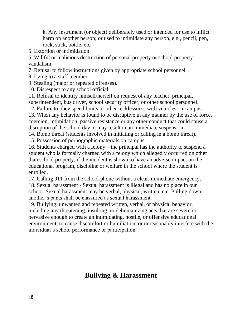k. Any instrument (or object) deliberately used or intended for use to inflict harm on another person; or used to intimidate any person, e.g., pencil, pen, rock, stick, bottle, etc.

5. Extortion or intimidation.

6. Willful or malicious destruction of personal property or school property; vandalism.

7. Refusal to follow instructions given by appropriate school personnel

8. Lying to a staff member

9. Stealing (major or repeated offenses).

10. Disrespect to any school official.

11. Refusal to identify himself/herself on request of any teacher, principal,

superintendent, bus driver, school security officer, or other school personnel.

12. Failure to obey speed limits or other recklessness with vehicles on campus.

13. When any behavior is found to be disruptive in any manner by the use of force, coercion, intimidation, passive resistance or any other conduct that could cause a disruption of the school day, it may result in an immediate suspension.

14. Bomb threat (students involved in initiating or calling in a bomb threat).

15. Possession of pornographic materials on campus.

16. Students charged with a felony – the principal has the authority to suspend a student who is formally charged with a felony which allegedly occurred on other than school property, if the incident is shown to have an adverse impact on the educational program, discipline or welfare in the school where the student is enrolled.

17. Calling 911 from the school phone without a clear, immediate emergency. 18. Sexual harassment - Sexual harassment is illegal and has no place in our school. Sexual harassment may be verbal, physical, written, etc. Pulling down another's pants shall be classified as sexual harassment.

19. Bullying: unwanted and repeated written, verbal, or physical behavior, including any threatening, insulting, or dehumanizing acts that are severe or pervasive enough to create an intimidating, hostile, or offensive educational environment, to cause discomfort or humiliation, or unreasonably interfere with the individual's school performance or participation.

## **Bullying & Harassment**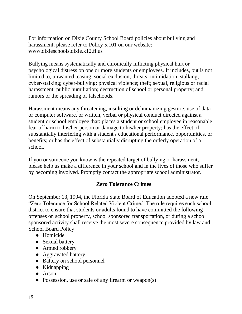For information on Dixie County School Board policies about bullying and harassment, please refer to Policy 5.101 on our website: [www.dixieschools.dixie.k12.fl.us](http://www.dixieschools.dixie.k12.fl.us/)

Bullying means systematically and chronically inflicting physical hurt or psychological distress on one or more students or employees. It includes, but is not limited to, unwanted teasing; social exclusion; threats; intimidation; stalking; cyber-stalking; cyber-bullying; physical violence; theft; sexual, religious or racial harassment; public humiliation; destruction of school or personal property; and rumors or the spreading of falsehoods.

Harassment means any threatening, insulting or dehumanizing gesture, use of data or computer software, or written, verbal or physical conduct directed against a student or school employee that: places a student or school employee in reasonable fear of harm to his/her person or damage to his/her property; has the effect of substantially interfering with a student's educational performance, opportunities, or benefits; or has the effect of substantially disrupting the orderly operation of a school.

If you or someone you know is the repeated target of bullying or harassment, please help us make a difference in your school and in the lives of those who suffer by becoming involved. Promptly contact the appropriate school administrator.

#### **Zero Tolerance Crimes**

On September 13, 1994, the Florida State Board of Education adopted a new rule "Zero Tolerance for School Related Violent Crime." The rule requires each school district to ensure that students or adults found to have committed the following offenses on school property, school sponsored transportation, or during a school sponsored activity shall receive the most severe consequence provided by law and School Board Policy:

- Homicide
- Sexual battery
- Armed robbery
- Aggravated battery
- Battery on school personnel
- Kidnapping
- Arson
- Possession, use or sale of any firearm or weapon(s)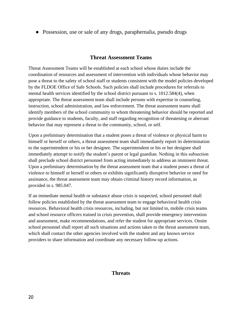• Possession, use or sale of any drugs, paraphernalia, pseudo drugs

#### **Threat Assessment Teams**

Threat Assessment Teams will be established at each school whose duties include the coordination of resources and assessment of intervention with individuals whose behavior may pose a threat to the safety of school staff or students consistent with the model policies developed by the FLDOE Office of Safe Schools. Such policies shall include procedures for referrals to mental health services identified by the school district pursuant to s. 1012.584(4), when appropriate. The threat assessment team shall include persons with expertise in counseling, instruction, school administration, and law enforcement. The threat assessment teams shall identify members of the school community to whom threatening behavior should be reported and provide guidance to students, faculty, and staff regarding recognition of threatening or aberrant behavior that may represent a threat to the community, school, or self.

Upon a preliminary determination that a student poses a threat of violence or physical harm to himself or herself or others, a threat assessment team shall immediately report its determination to the superintendent or his or her designee. The superintendent or his or her designee shall immediately attempt to notify the student's parent or legal guardian. Nothing in this subsection shall preclude school district personnel from acting immediately to address an imminent threat. Upon a preliminary determination by the threat assessment team that a student poses a threat of violence to himself or herself or others or exhibits significantly disruptive behavior or need for assistance, the threat assessment team may obtain criminal history record information, as provided in s. 985.047.

If an immediate mental health or substance abuse crisis is suspected, school personnel shall follow policies established by the threat assessment team to engage behavioral health crisis resources. Behavioral health crisis resources, including, but not limited to, mobile crisis teams and school resource officers trained in crisis prevention, shall provide emergency intervention and assessment, make recommendations, and refer the student for appropriate services. Onsite school personnel shall report all such situations and actions taken to the threat assessment team, which shall contact the other agencies involved with the student and any known service providers to share information and coordinate any necessary follow-up actions.

#### **Threats**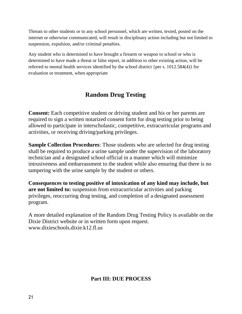Threats to other students or to any school personnel, which are written, texted, posted on the internet or otherwise communicated, will result in disciplinary action including but not limited to suspension, expulsion, and/or criminal penalties.

Any student who is determined to have brought a firearm or weapon to school or who is determined to have made a threat or false report, in addition to other existing action, will be referred to mental health services identified by the school district {per s. 1012.584(4)} for evaluation or treatment, when appropriate

## **Random Drug Testing**

**Consent:** Each competitive student or driving student and his or her parents are required to sign a written notarized consent form for drug testing prior to being allowed to participate in interscholastic, competitive, extracurricular programs and activities, or receiving driving/parking privileges.

**Sample Collection Procedures**: Those students who are selected for drug testing shall be required to produce a urine sample under the supervision of the laboratory technician and a designated school official in a manner which will minimize intrusiveness and embarrassment to the student while also ensuring that there is no tampering with the urine sample by the student or others.

**Consequences to testing positive of intoxication of any kind may include, but are not limited to:** suspension from extracurricular activities and parking privileges, reoccurring drug testing, and completion of a designated assessment program.

A more detailed explanation of the Random Drug Testing Policy is available on the Dixie District website or in written form upon request. [www.dixieschools.dixie.k12.fl.us](http://www.dixieschools.dixie.k12.fl.us/)

#### **Part III: DUE PROCESS**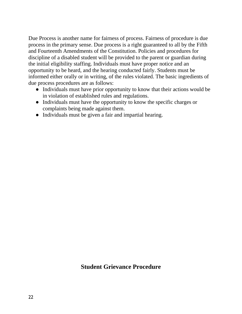Due Process is another name for fairness of process. Fairness of procedure is due process in the primary sense. Due process is a right guaranteed to all by the Fifth and Fourteenth Amendments of the Constitution. Policies and procedures for discipline of a disabled student will be provided to the parent or guardian during the initial eligibility staffing. Individuals must have proper notice and an opportunity to be heard, and the hearing conducted fairly. Students must be informed either orally or in writing, of the rules violated. The basic ingredients of due process procedures are as follows:

- Individuals must have prior opportunity to know that their actions would be in violation of established rules and regulations.
- Individuals must have the opportunity to know the specific charges or complaints being made against them.
- Individuals must be given a fair and impartial hearing.

## **Student Grievance Procedure**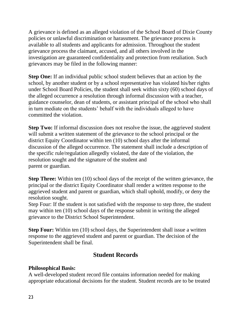A grievance is defined as an alleged violation of the School Board of Dixie County policies or unlawful discrimination or harassment. The grievance process is available to all students and applicants for admission. Throughout the student grievance process the claimant, accused, and all others involved in the investigation are guaranteed confidentiality and protection from retaliation. Such grievances may be filed in the following manner:

**Step One:** If an individual public school student believes that an action by the school, by another student or by a school representative has violated his/her rights under School Board Policies, the student shall seek within sixty (60) school days of the alleged occurrence a resolution through informal discussion with a teacher, guidance counselor, dean of students, or assistant principal of the school who shall in turn mediate on the students' behalf with the individuals alleged to have committed the violation.

**Step Two:** If informal discussion does not resolve the issue, the aggrieved student will submit a written statement of the grievance to the school principal or the district Equity Coordinator within ten (10) school days after the informal discussion of the alleged occurrence. The statement shall include a description of the specific rule/regulation allegedly violated, the date of the violation, the resolution sought and the signature of the student and parent or guardian.

**Step Three:** Within ten (10) school days of the receipt of the written grievance, the principal or the district Equity Coordinator shall render a written response to the aggrieved student and parent or guardian, which shall uphold, modify, or deny the resolution sought.

Step Four: If the student is not satisfied with the response to step three, the student may within ten (10) school days of the response submit in writing the alleged grievance to the District School Superintendent.

**Step Four:** Within ten (10) school days, the Superintendent shall issue a written response to the aggrieved student and parent or guardian. The decision of the Superintendent shall be final.

## **Student Records**

#### **Philosophical Basis:**

A well-developed student record file contains information needed for making appropriate educational decisions for the student. Student records are to be treated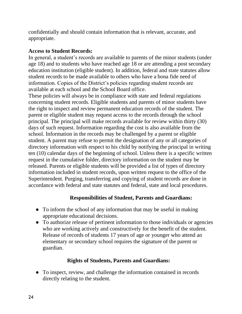confidentially and should contain information that is relevant, accurate, and appropriate.

#### **Access to Student Records:**

In general, a student's records are available to parents of the minor students (under age 18) and to students who have reached age 18 or are attending a post secondary education institution (eligible student). In addition, federal and state statutes allow student records to be made available to others who have a bona fide need of information. Copies of the District's policies regarding student records are available at each school and the School Board office.

These policies will always be in compliance with state and federal regulations concerning student records. Eligible students and parents of minor students have the right to inspect and review permanent education records of the student. The parent or eligible student may request access to the records through the school principal. The principal will make records available for review within thirty (30) days of such request. Information regarding the cost is also available from the school. Information in the records may be challenged by a parent or eligible student. A parent may refuse to permit the designation of any or all categories of directory information with respect to his child by notifying the principal in writing ten (10) calendar days of the beginning of school. Unless there is a specific written request in the cumulative folder, directory information on the student may be released. Parents or eligible students will be provided a list of types of directory information included in student records, upon written request to the office of the Superintendent. Purging, transferring and copying of student records are done in accordance with federal and state statutes and federal, state and local procedures.

#### **Responsibilities of Student, Parents and Guardians:**

- To inform the school of any information that may be useful in making appropriate educational decisions.
- To authorize release of pertinent information to those individuals or agencies who are working actively and constructively for the benefit of the student. Release of records of students 17 years of age or younger who attend an elementary or secondary school requires the signature of the parent or guardian.

#### **Rights of Students, Parents and Guardians:**

● To inspect, review, and challenge the information contained in records directly relating to the student.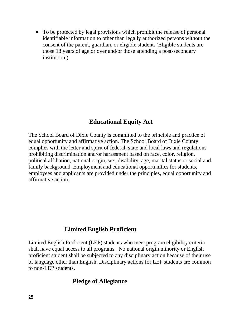• To be protected by legal provisions which prohibit the release of personal identifiable information to other than legally authorized persons without the consent of the parent, guardian, or eligible student. (Eligible students are those 18 years of age or over and/or those attending a post-secondary institution.)

## **Educational Equity Act**

The School Board of Dixie County is committed to the principle and practice of equal opportunity and affirmative action. The School Board of Dixie County complies with the letter and spirit of federal, state and local laws and regulations prohibiting discrimination and/or harassment based on race, color, religion, political affiliation, national origin, sex, disability, age, marital status or social and family background. Employment and educational opportunities for students, employees and applicants are provided under the principles, equal opportunity and affirmative action.

## **Limited English Proficient**

Limited English Proficient (LEP) students who meet program eligibility criteria shall have equal access to all programs. No national origin minority or English proficient student shall be subjected to any disciplinary action because of their use of language other than English. Disciplinary actions for LEP students are common to non-LEP students.

## **Pledge of Allegiance**